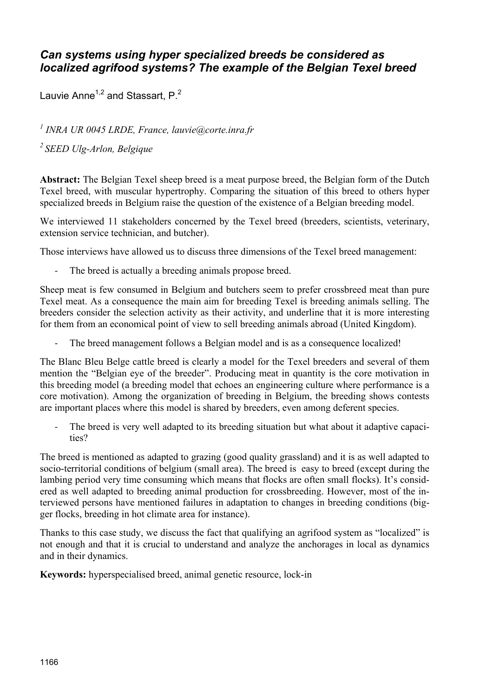# *Can systems using hyper specialized breeds be considered as localized agrifood systems? The example of the Belgian Texel breed*

Lauvie Anne<sup>1,2</sup> and Stassart,  $P<sup>2</sup>$ 

*1 INRA UR 0045 LRDE, France, lauvie@corte.inra.fr* 

*2 SEED Ulg-Arlon, Belgique*

**Abstract:** The Belgian Texel sheep breed is a meat purpose breed, the Belgian form of the Dutch Texel breed, with muscular hypertrophy. Comparing the situation of this breed to others hyper specialized breeds in Belgium raise the question of the existence of a Belgian breeding model.

We interviewed 11 stakeholders concerned by the Texel breed (breeders, scientists, veterinary, extension service technician, and butcher).

Those interviews have allowed us to discuss three dimensions of the Texel breed management:

‐ The breed is actually a breeding animals propose breed.

Sheep meat is few consumed in Belgium and butchers seem to prefer crossbreed meat than pure Texel meat. As a consequence the main aim for breeding Texel is breeding animals selling. The breeders consider the selection activity as their activity, and underline that it is more interesting for them from an economical point of view to sell breeding animals abroad (United Kingdom).

The breed management follows a Belgian model and is as a consequence localized!

The Blanc Bleu Belge cattle breed is clearly a model for the Texel breeders and several of them mention the "Belgian eye of the breeder". Producing meat in quantity is the core motivation in this breeding model (a breeding model that echoes an engineering culture where performance is a core motivation). Among the organization of breeding in Belgium, the breeding shows contests are important places where this model is shared by breeders, even among deferent species.

‐ The breed is very well adapted to its breeding situation but what about it adaptive capacities?

The breed is mentioned as adapted to grazing (good quality grassland) and it is as well adapted to socio-territorial conditions of belgium (small area). The breed is easy to breed (except during the lambing period very time consuming which means that flocks are often small flocks). It's considered as well adapted to breeding animal production for crossbreeding. However, most of the interviewed persons have mentioned failures in adaptation to changes in breeding conditions (bigger flocks, breeding in hot climate area for instance).

Thanks to this case study, we discuss the fact that qualifying an agrifood system as "localized" is not enough and that it is crucial to understand and analyze the anchorages in local as dynamics and in their dynamics.

**Keywords:** hyperspecialised breed, animal genetic resource, lock-in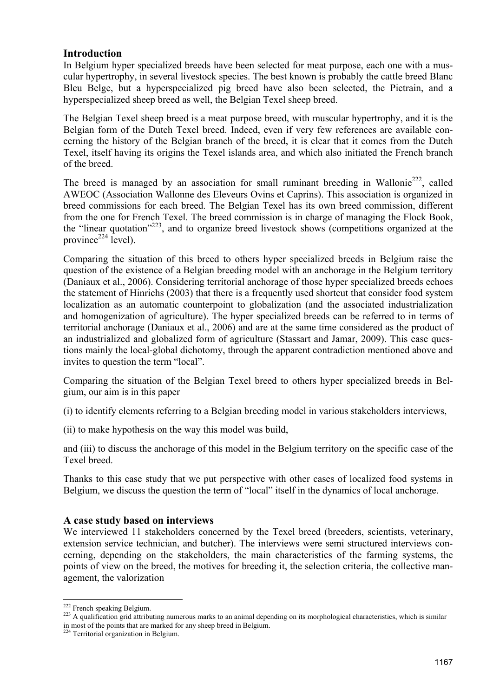# **Introduction**

In Belgium hyper specialized breeds have been selected for meat purpose, each one with a muscular hypertrophy, in several livestock species. The best known is probably the cattle breed Blanc Bleu Belge, but a hyperspecialized pig breed have also been selected, the Pietrain, and a hyperspecialized sheep breed as well, the Belgian Texel sheep breed.

The Belgian Texel sheep breed is a meat purpose breed, with muscular hypertrophy, and it is the Belgian form of the Dutch Texel breed. Indeed, even if very few references are available concerning the history of the Belgian branch of the breed, it is clear that it comes from the Dutch Texel, itself having its origins the Texel islands area, and which also initiated the French branch of the breed.

The breed is managed by an association for small ruminant breeding in Wallonie<sup>222</sup>, called AWEOC (Association Wallonne des Eleveurs Ovins et Caprins). This association is organized in breed commissions for each breed. The Belgian Texel has its own breed commission, different from the one for French Texel. The breed commission is in charge of managing the Flock Book, the "linear quotation"223, and to organize breed livestock shows (competitions organized at the province $^{224}$  level).

Comparing the situation of this breed to others hyper specialized breeds in Belgium raise the question of the existence of a Belgian breeding model with an anchorage in the Belgium territory (Daniaux et al., 2006). Considering territorial anchorage of those hyper specialized breeds echoes the statement of Hinrichs (2003) that there is a frequently used shortcut that consider food system localization as an automatic counterpoint to globalization (and the associated industrialization and homogenization of agriculture). The hyper specialized breeds can be referred to in terms of territorial anchorage (Daniaux et al., 2006) and are at the same time considered as the product of an industrialized and globalized form of agriculture (Stassart and Jamar, 2009). This case questions mainly the local-global dichotomy, through the apparent contradiction mentioned above and invites to question the term "local".

Comparing the situation of the Belgian Texel breed to others hyper specialized breeds in Belgium, our aim is in this paper

(i) to identify elements referring to a Belgian breeding model in various stakeholders interviews,

(ii) to make hypothesis on the way this model was build,

and (iii) to discuss the anchorage of this model in the Belgium territory on the specific case of the Texel breed.

Thanks to this case study that we put perspective with other cases of localized food systems in Belgium, we discuss the question the term of "local" itself in the dynamics of local anchorage.

#### **A case study based on interviews**

We interviewed 11 stakeholders concerned by the Texel breed (breeders, scientists, veterinary, extension service technician, and butcher). The interviews were semi structured interviews concerning, depending on the stakeholders, the main characteristics of the farming systems, the points of view on the breed, the motives for breeding it, the selection criteria, the collective management, the valorization

<sup>&</sup>lt;sup>222</sup> French speaking Belgium.

<sup>&</sup>lt;sup>223</sup> A qualification grid attributing numerous marks to an animal depending on its morphological characteristics, which is similar in most of the points that are marked for any sheep breed in Belgium.

<sup>&</sup>lt;sup>224</sup> Territorial organization in Belgium.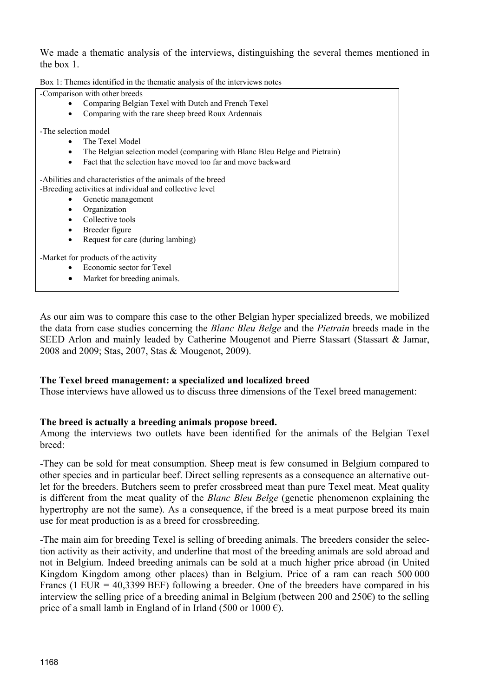We made a thematic analysis of the interviews, distinguishing the several themes mentioned in the box 1.

| -Comparison with other breeds                                                                                                                                                                                                                                                                           |
|---------------------------------------------------------------------------------------------------------------------------------------------------------------------------------------------------------------------------------------------------------------------------------------------------------|
| Comparing Belgian Texel with Dutch and French Texel<br>$\bullet$                                                                                                                                                                                                                                        |
| Comparing with the rare sheep breed Roux Ardennais<br>$\bullet$                                                                                                                                                                                                                                         |
| -The selection model                                                                                                                                                                                                                                                                                    |
|                                                                                                                                                                                                                                                                                                         |
| The Texel Model<br>$\bullet$                                                                                                                                                                                                                                                                            |
| The Belgian selection model (comparing with Blanc Bleu Belge and Pietrain)<br>$\bullet$                                                                                                                                                                                                                 |
| Fact that the selection have moved too far and move backward<br>$\bullet$                                                                                                                                                                                                                               |
| -Abilities and characteristics of the animals of the breed<br>-Breeding activities at individual and collective level<br>Genetic management<br>$\bullet$<br>Organization<br>$\bullet$<br>Collective tools<br>$\bullet$<br>Breeder figure<br>$\bullet$<br>Request for care (during lambing)<br>$\bullet$ |
| -Market for products of the activity                                                                                                                                                                                                                                                                    |
| Economic sector for Texel                                                                                                                                                                                                                                                                               |
| Market for breeding animals.<br>$\bullet$                                                                                                                                                                                                                                                               |
|                                                                                                                                                                                                                                                                                                         |
|                                                                                                                                                                                                                                                                                                         |

As our aim was to compare this case to the other Belgian hyper specialized breeds, we mobilized the data from case studies concerning the *Blanc Bleu Belge* and the *Pietrain* breeds made in the SEED Arlon and mainly leaded by Catherine Mougenot and Pierre Stassart (Stassart & Jamar, 2008 and 2009; Stas, 2007, Stas & Mougenot, 2009).

#### **The Texel breed management: a specialized and localized breed**

Those interviews have allowed us to discuss three dimensions of the Texel breed management:

# **The breed is actually a breeding animals propose breed.**

Among the interviews two outlets have been identified for the animals of the Belgian Texel breed:

-They can be sold for meat consumption. Sheep meat is few consumed in Belgium compared to other species and in particular beef. Direct selling represents as a consequence an alternative outlet for the breeders. Butchers seem to prefer crossbreed meat than pure Texel meat. Meat quality is different from the meat quality of the *Blanc Bleu Belge* (genetic phenomenon explaining the hypertrophy are not the same). As a consequence, if the breed is a meat purpose breed its main use for meat production is as a breed for crossbreeding.

-The main aim for breeding Texel is selling of breeding animals. The breeders consider the selection activity as their activity, and underline that most of the breeding animals are sold abroad and not in Belgium. Indeed breeding animals can be sold at a much higher price abroad (in United Kingdom Kingdom among other places) than in Belgium. Price of a ram can reach 500 000 Francs (1 EUR = 40,3399 BEF) following a breeder. One of the breeders have compared in his interview the selling price of a breeding animal in Belgium (between 200 and 250 $\epsilon$ ) to the selling price of a small lamb in England of in Irland (500 or 1000  $\epsilon$ ).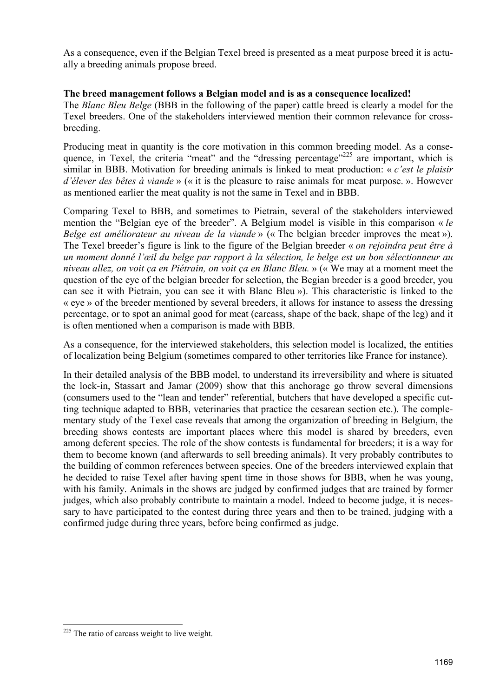As a consequence, even if the Belgian Texel breed is presented as a meat purpose breed it is actually a breeding animals propose breed.

## **The breed management follows a Belgian model and is as a consequence localized!**

The *Blanc Bleu Belge* (BBB in the following of the paper) cattle breed is clearly a model for the Texel breeders. One of the stakeholders interviewed mention their common relevance for crossbreeding.

Producing meat in quantity is the core motivation in this common breeding model. As a consequence, in Texel, the criteria "meat" and the "dressing percentage"<sup>225</sup> are important, which is similar in BBB. Motivation for breeding animals is linked to meat production: « *c'est le plaisir d'élever des bêtes à viande* » (« it is the pleasure to raise animals for meat purpose. ». However as mentioned earlier the meat quality is not the same in Texel and in BBB.

Comparing Texel to BBB, and sometimes to Pietrain, several of the stakeholders interviewed mention the "Belgian eye of the breeder". A Belgium model is visible in this comparison « *le Belge est améliorateur au niveau de la viande* » (« The belgian breeder improves the meat »). The Texel breeder's figure is link to the figure of the Belgian breeder « *on rejoindra peut être à un moment donné l'œil du belge par rapport à la sélection, le belge est un bon sélectionneur au niveau allez, on voit ça en Piétrain, on voit ça en Blanc Bleu.* » (« We may at a moment meet the question of the eye of the belgian breeder for selection, the Begian breeder is a good breeder, you can see it with Pietrain, you can see it with Blanc Bleu »). This characteristic is linked to the « eye » of the breeder mentioned by several breeders, it allows for instance to assess the dressing percentage, or to spot an animal good for meat (carcass, shape of the back, shape of the leg) and it is often mentioned when a comparison is made with BBB.

As a consequence, for the interviewed stakeholders, this selection model is localized, the entities of localization being Belgium (sometimes compared to other territories like France for instance).

In their detailed analysis of the BBB model, to understand its irreversibility and where is situated the lock-in, Stassart and Jamar (2009) show that this anchorage go throw several dimensions (consumers used to the "lean and tender" referential, butchers that have developed a specific cutting technique adapted to BBB, veterinaries that practice the cesarean section etc.). The complementary study of the Texel case reveals that among the organization of breeding in Belgium, the breeding shows contests are important places where this model is shared by breeders, even among deferent species. The role of the show contests is fundamental for breeders; it is a way for them to become known (and afterwards to sell breeding animals). It very probably contributes to the building of common references between species. One of the breeders interviewed explain that he decided to raise Texel after having spent time in those shows for BBB, when he was young, with his family. Animals in the shows are judged by confirmed judges that are trained by former judges, which also probably contribute to maintain a model. Indeed to become judge, it is necessary to have participated to the contest during three years and then to be trained, judging with a confirmed judge during three years, before being confirmed as judge.

-

 $225$  The ratio of carcass weight to live weight.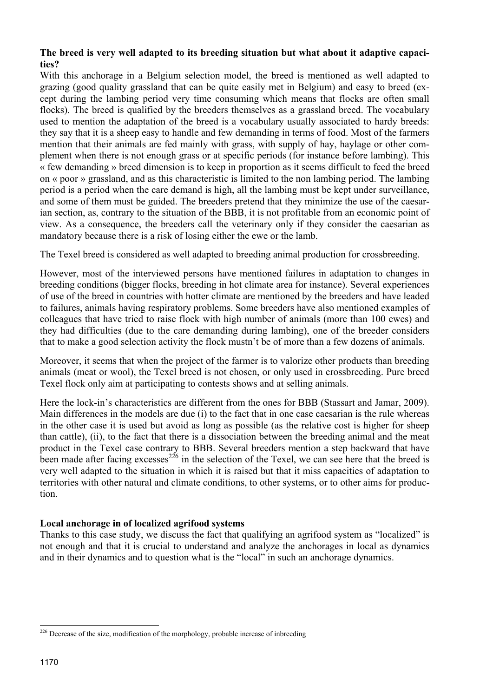## **The breed is very well adapted to its breeding situation but what about it adaptive capacities?**

With this anchorage in a Belgium selection model, the breed is mentioned as well adapted to grazing (good quality grassland that can be quite easily met in Belgium) and easy to breed (except during the lambing period very time consuming which means that flocks are often small flocks). The breed is qualified by the breeders themselves as a grassland breed. The vocabulary used to mention the adaptation of the breed is a vocabulary usually associated to hardy breeds: they say that it is a sheep easy to handle and few demanding in terms of food. Most of the farmers mention that their animals are fed mainly with grass, with supply of hay, haylage or other complement when there is not enough grass or at specific periods (for instance before lambing). This « few demanding » breed dimension is to keep in proportion as it seems difficult to feed the breed on « poor » grassland, and as this characteristic is limited to the non lambing period. The lambing period is a period when the care demand is high, all the lambing must be kept under surveillance, and some of them must be guided. The breeders pretend that they minimize the use of the caesarian section, as, contrary to the situation of the BBB, it is not profitable from an economic point of view. As a consequence, the breeders call the veterinary only if they consider the caesarian as mandatory because there is a risk of losing either the ewe or the lamb.

The Texel breed is considered as well adapted to breeding animal production for crossbreeding.

However, most of the interviewed persons have mentioned failures in adaptation to changes in breeding conditions (bigger flocks, breeding in hot climate area for instance). Several experiences of use of the breed in countries with hotter climate are mentioned by the breeders and have leaded to failures, animals having respiratory problems. Some breeders have also mentioned examples of colleagues that have tried to raise flock with high number of animals (more than 100 ewes) and they had difficulties (due to the care demanding during lambing), one of the breeder considers that to make a good selection activity the flock mustn't be of more than a few dozens of animals.

Moreover, it seems that when the project of the farmer is to valorize other products than breeding animals (meat or wool), the Texel breed is not chosen, or only used in crossbreeding. Pure breed Texel flock only aim at participating to contests shows and at selling animals.

Here the lock-in's characteristics are different from the ones for BBB (Stassart and Jamar, 2009). Main differences in the models are due (i) to the fact that in one case caesarian is the rule whereas in the other case it is used but avoid as long as possible (as the relative cost is higher for sheep than cattle), (ii), to the fact that there is a dissociation between the breeding animal and the meat product in the Texel case contrary to BBB. Several breeders mention a step backward that have been made after facing excesses<sup>226</sup> in the selection of the Texel, we can see here that the breed is very well adapted to the situation in which it is raised but that it miss capacities of adaptation to territories with other natural and climate conditions, to other systems, or to other aims for production.

# **Local anchorage in of localized agrifood systems**

Thanks to this case study, we discuss the fact that qualifying an agrifood system as "localized" is not enough and that it is crucial to understand and analyze the anchorages in local as dynamics and in their dynamics and to question what is the "local" in such an anchorage dynamics.

 $\overline{a}$ 

 $226$  Decrease of the size, modification of the morphology, probable increase of inbreeding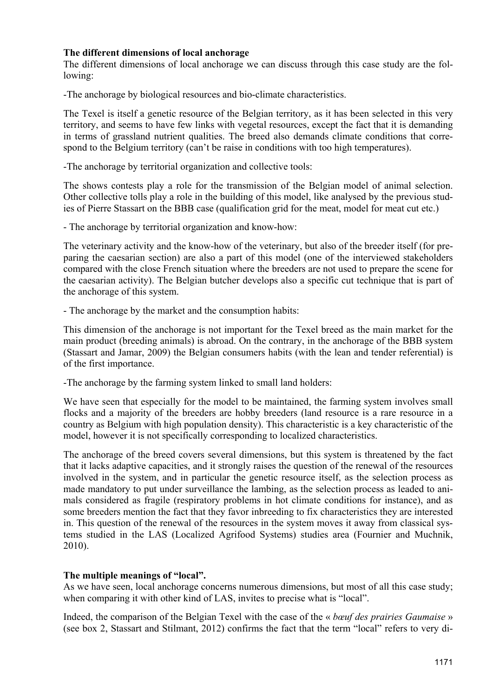### **The different dimensions of local anchorage**

The different dimensions of local anchorage we can discuss through this case study are the following:

-The anchorage by biological resources and bio-climate characteristics.

The Texel is itself a genetic resource of the Belgian territory, as it has been selected in this very territory, and seems to have few links with vegetal resources, except the fact that it is demanding in terms of grassland nutrient qualities. The breed also demands climate conditions that correspond to the Belgium territory (can't be raise in conditions with too high temperatures).

-The anchorage by territorial organization and collective tools:

The shows contests play a role for the transmission of the Belgian model of animal selection. Other collective tolls play a role in the building of this model, like analysed by the previous studies of Pierre Stassart on the BBB case (qualification grid for the meat, model for meat cut etc.)

- The anchorage by territorial organization and know-how:

The veterinary activity and the know-how of the veterinary, but also of the breeder itself (for preparing the caesarian section) are also a part of this model (one of the interviewed stakeholders compared with the close French situation where the breeders are not used to prepare the scene for the caesarian activity). The Belgian butcher develops also a specific cut technique that is part of the anchorage of this system.

- The anchorage by the market and the consumption habits:

This dimension of the anchorage is not important for the Texel breed as the main market for the main product (breeding animals) is abroad. On the contrary, in the anchorage of the BBB system (Stassart and Jamar, 2009) the Belgian consumers habits (with the lean and tender referential) is of the first importance.

-The anchorage by the farming system linked to small land holders:

We have seen that especially for the model to be maintained, the farming system involves small flocks and a majority of the breeders are hobby breeders (land resource is a rare resource in a country as Belgium with high population density). This characteristic is a key characteristic of the model, however it is not specifically corresponding to localized characteristics.

The anchorage of the breed covers several dimensions, but this system is threatened by the fact that it lacks adaptive capacities, and it strongly raises the question of the renewal of the resources involved in the system, and in particular the genetic resource itself, as the selection process as made mandatory to put under surveillance the lambing, as the selection process as leaded to animals considered as fragile (respiratory problems in hot climate conditions for instance), and as some breeders mention the fact that they favor inbreeding to fix characteristics they are interested in. This question of the renewal of the resources in the system moves it away from classical systems studied in the LAS (Localized Agrifood Systems) studies area (Fournier and Muchnik, 2010).

# **The multiple meanings of "local".**

As we have seen, local anchorage concerns numerous dimensions, but most of all this case study; when comparing it with other kind of LAS, invites to precise what is "local".

Indeed, the comparison of the Belgian Texel with the case of the « *bœuf des prairies Gaumaise* » (see box 2, Stassart and Stilmant, 2012) confirms the fact that the term "local" refers to very di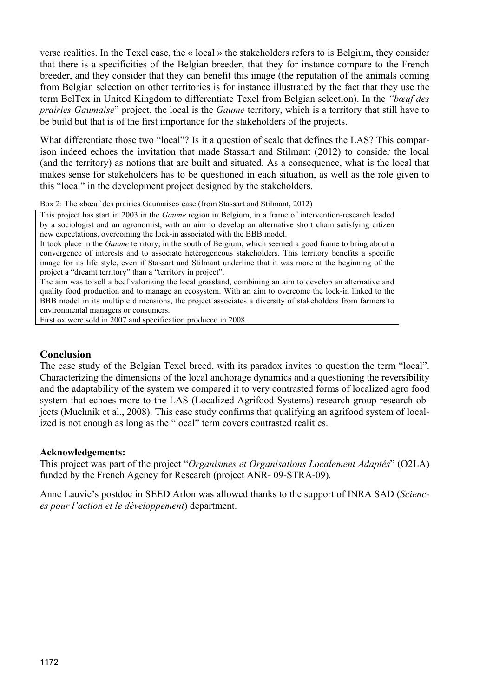verse realities. In the Texel case, the « local » the stakeholders refers to is Belgium, they consider that there is a specificities of the Belgian breeder, that they for instance compare to the French breeder, and they consider that they can benefit this image (the reputation of the animals coming from Belgian selection on other territories is for instance illustrated by the fact that they use the term BelTex in United Kingdom to differentiate Texel from Belgian selection). In the *"bœuf des prairies Gaumaise*" project, the local is the *Gaume* territory, which is a territory that still have to be build but that is of the first importance for the stakeholders of the projects.

What differentiate those two "local"? Is it a question of scale that defines the LAS? This comparison indeed echoes the invitation that made Stassart and Stilmant (2012) to consider the local (and the territory) as notions that are built and situated. As a consequence, what is the local that makes sense for stakeholders has to be questioned in each situation, as well as the role given to this "local" in the development project designed by the stakeholders.

Box 2: The «bœuf des prairies Gaumaise» case (from Stassart and Stilmant, 2012)

This project has start in 2003 in the *Gaume* region in Belgium, in a frame of intervention-research leaded by a sociologist and an agronomist, with an aim to develop an alternative short chain satisfying citizen new expectations, overcoming the lock-in associated with the BBB model.

It took place in the *Gaume* territory, in the south of Belgium, which seemed a good frame to bring about a convergence of interests and to associate heterogeneous stakeholders. This territory benefits a specific image for its life style, even if Stassart and Stilmant underline that it was more at the beginning of the project a "dreamt territory" than a "territory in project".

The aim was to sell a beef valorizing the local grassland, combining an aim to develop an alternative and quality food production and to manage an ecosystem. With an aim to overcome the lock-in linked to the BBB model in its multiple dimensions, the project associates a diversity of stakeholders from farmers to environmental managers or consumers.

First ox were sold in 2007 and specification produced in 2008.

## **Conclusion**

The case study of the Belgian Texel breed, with its paradox invites to question the term "local". Characterizing the dimensions of the local anchorage dynamics and a questioning the reversibility and the adaptability of the system we compared it to very contrasted forms of localized agro food system that echoes more to the LAS (Localized Agrifood Systems) research group research objects (Muchnik et al., 2008). This case study confirms that qualifying an agrifood system of localized is not enough as long as the "local" term covers contrasted realities.

#### **Acknowledgements:**

This project was part of the project "*Organismes et Organisations Localement Adaptés*" (O2LA) funded by the French Agency for Research (project ANR- 09-STRA-09).

Anne Lauvie's postdoc in SEED Arlon was allowed thanks to the support of INRA SAD (*Sciences pour l'action et le développement*) department.